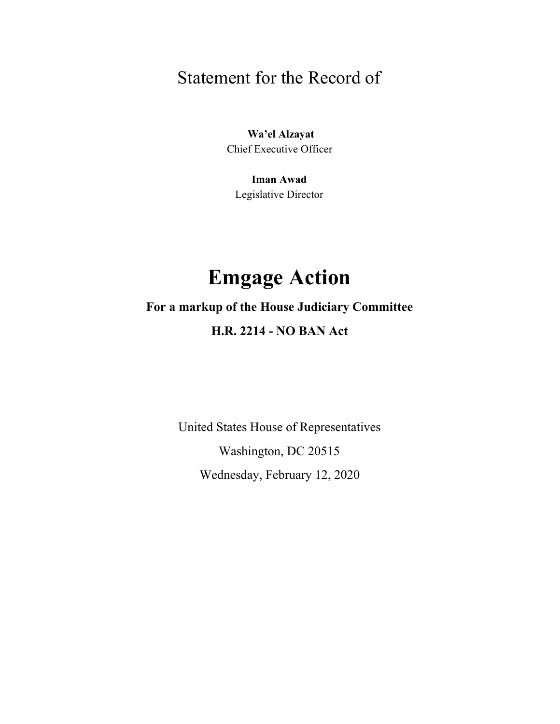## Statement for the Record of

 **Wa'el Alzayat** Chief Executive Officer

**Iman Awad** Legislative Director

# **Emgage Action**

## **For a markup of the House Judiciary Committee**

### **H.R. 2214 - NO BAN Act**

United States House of Representatives Washington, DC 20515 Wednesday, February 12, 2020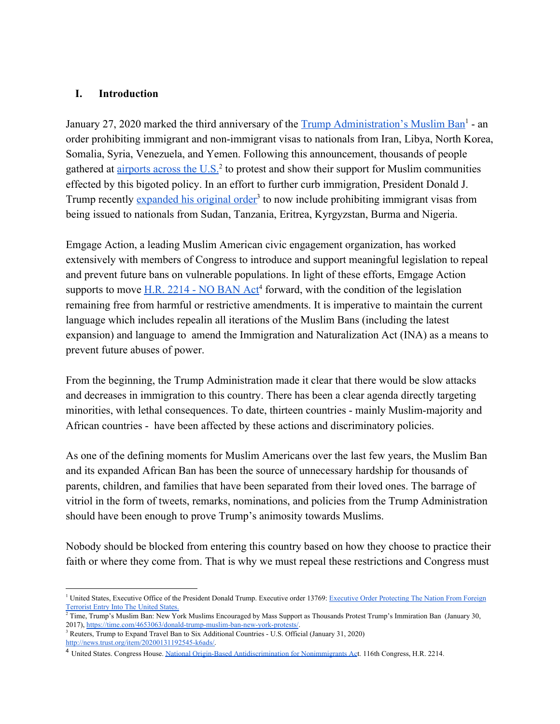#### **I. Introduction**

January 27, 2020 marked the third anniversary of the [Trump Administration's Muslim Ban](https://www.whitehouse.gov/presidential-actions/executive-order-protecting-nation-foreign-terrorist-entry-united-states-2/)<sup>1</sup> - an order prohibiting immigrant and non-immigrant visas to nationals from Iran, Libya, North Korea, Somalia, Syria, Venezuela, and Yemen. Following this announcement, thousands of people gathered at airports across the  $U.S.<sup>2</sup>$  to protest and show their support for Muslim communities effected by this bigoted policy. In an effort to further curb immigration, President Donald J. Trump recently [expanded his original order](http://news.trust.org//item/20200131192545-k6ads/)<sup>3</sup> to now include prohibiting immigrant visas from being issued to nationals from Sudan, Tanzania, Eritrea, Kyrgyzstan, Burma and Nigeria.

Emgage Action, a leading Muslim American civic engagement organization, has worked extensively with members of Congress to introduce and support meaningful legislation to repeal and prevent future bans on vulnerable populations. In light of these efforts, Emgage Action supports to move  $H.R. 2214 - NO BAN Act<sup>4</sup>$  $H.R. 2214 - NO BAN Act<sup>4</sup>$  forward, with the condition of the legislation remaining free from harmful or restrictive amendments. It is imperative to maintain the current language which includes repealin all iterations of the Muslim Bans (including the latest expansion) and language to amend the Immigration and Naturalization Act (INA) as a means to prevent future abuses of power.

From the beginning, the Trump Administration made it clear that there would be slow attacks and decreases in immigration to this country. There has been a clear agenda directly targeting minorities, with lethal consequences. To date, thirteen countries - mainly Muslim-majority and African countries - have been affected by these actions and discriminatory policies.

As one of the defining moments for Muslim Americans over the last few years, the Muslim Ban and its expanded African Ban has been the source of unnecessary hardship for thousands of parents, children, and families that have been separated from their loved ones. The barrage of vitriol in the form of tweets, remarks, nominations, and policies from the Trump Administration should have been enough to prove Trump's animosity towards Muslims.

Nobody should be blocked from entering this country based on how they choose to practice their faith or where they come from. That is why we must repeal these restrictions and Congress must

<sup>&</sup>lt;sup>1</sup> United States, Executive Office of the President Donald Trump. Executive order 13769: Executive Order [Protecting](https://www.whitehouse.gov/presidential-actions/executive-order-protecting-nation-foreign-terrorist-entry-united-states-2/) The Nation From Foreign [Terrorist](https://www.whitehouse.gov/presidential-actions/executive-order-protecting-nation-foreign-terrorist-entry-united-states-2/) Entry Into The United States.

<sup>&</sup>lt;sup>2</sup> Time, Trump's Muslim Ban: New York Muslims Encouraged by Mass Support as Thousands Protest Trump's Immiration Ban (January 30, 2017), <https://time.com/4653063/donald-trump-muslim-ban-new-york-protests/>.

<sup>&</sup>lt;sup>3</sup> Reuters, Trump to Expand Travel Ban to Six Additional Countries - U.S. Official (January 31, 2020) [http://news.trust.org/item/20200131192545-k6ads/.](http://news.trust.org/item/20200131192545-k6ads/)

<sup>4</sup> United States. Congress House. National Origin-Based [Antidiscrimination](https://www.congress.gov/bill/116th-congress/house-bill/2214?q=%7B%22search%22%3A%5B%22National+Origin-Based+Antidiscrimination+for+Nonimmigrants%22%5D%7D&s=1&r=1) for Nonimmigrants Act. 116th Congress, H.R. 2214.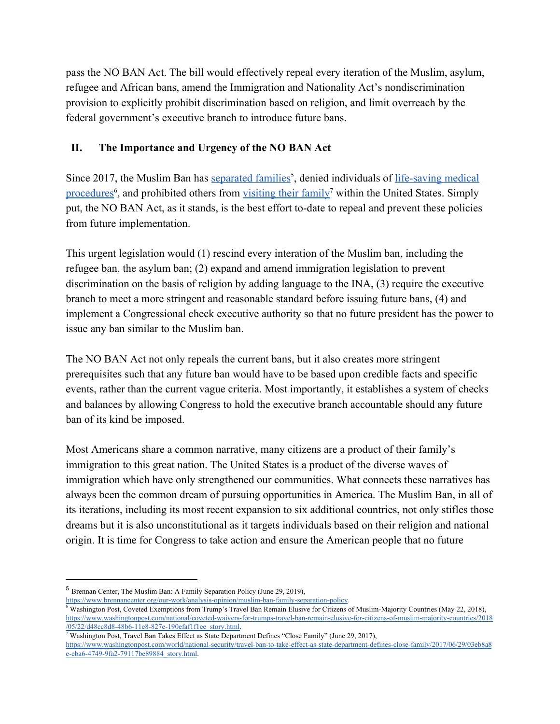pass the NO BAN Act. The bill would effectively repeal every iteration of the Muslim, asylum, refugee and African bans, amend the Immigration and Nationality Act's nondiscrimination provision to explicitly prohibit discrimination based on religion, and limit overreach by the federal government's executive branch to introduce future bans.

#### **II. The Importance and Urgency of the NO BAN Act**

Since 2017, the Muslim Ban has [separated families](https://www.brennancenter.org/our-work/analysis-opinion/muslim-ban-family-separation-policy)<sup>5</sup>, denied individuals of [life-saving medical](https://www.washingtonpost.com/national/coveted-waivers-for-trumps-travel-ban-remain-elusive-for-citizens-of-muslim-majority-countries/2018/05/22/d48cc8d8-48b6-11e8-827e-190efaf1f1ee_story.html) [procedures](https://www.washingtonpost.com/national/coveted-waivers-for-trumps-travel-ban-remain-elusive-for-citizens-of-muslim-majority-countries/2018/05/22/d48cc8d8-48b6-11e8-827e-190efaf1f1ee_story.html)<sup>6</sup>, and prohibited others from [visiting their family](https://www.washingtonpost.com/world/national-security/travel-ban-to-take-effect-as-state-department-defines-close-family/2017/06/29/03eb8a8e-eba6-4749-9fa2-79117be89884_story.html)<sup>7</sup> within the United States. Simply put, the NO BAN Act, as it stands, is the best effort to-date to repeal and prevent these policies from future implementation.

This urgent legislation would (1) rescind every interation of the Muslim ban, including the refugee ban, the asylum ban; (2) expand and amend immigration legislation to prevent discrimination on the basis of religion by adding language to the INA, (3) require the executive branch to meet a more stringent and reasonable standard before issuing future bans, (4) and implement a Congressional check executive authority so that no future president has the power to issue any ban similar to the Muslim ban.

The NO BAN Act not only repeals the current bans, but it also creates more stringent prerequisites such that any future ban would have to be based upon credible facts and specific events, rather than the current vague criteria. Most importantly, it establishes a system of checks and balances by allowing Congress to hold the executive branch accountable should any future ban of its kind be imposed.

Most Americans share a common narrative, many citizens are a product of their family's immigration to this great nation. The United States is a product of the diverse waves of immigration which have only strengthened our communities. What connects these narratives has always been the common dream of pursuing opportunities in America. The Muslim Ban, in all of its iterations, including its most recent expansion to six additional countries, not only stifles those dreams but it is also unconstitutional as it targets individuals based on their religion and national origin. It is time for Congress to take action and ensure the American people that no future

<sup>5</sup> Brennan Center, The Muslim Ban: A Family Separation Policy (June 29, 2019),

<https://www.brennancenter.org/our-work/analysis-opinion/muslim-ban-family-separation-policy>.

<sup>6</sup> Washington Post, Coveted Exemptions from Trump's Travel Ban Remain Elusive for Citizens of Muslim-Majority Countries (May 22, 2018), [https://www.washingtonpost.com/national/coveted-waivers-for-trumps-travel-ban-remain-elusive-for-citizens-of-muslim-majority-countries/2018](https://www.washingtonpost.com/national/coveted-waivers-for-trumps-travel-ban-remain-elusive-for-citizens-of-muslim-majority-countries/2018/05/22/d48cc8d8-48b6-11e8-827e-190efaf1f1ee_story.html) [/05/22/d48cc8d8-48b6-11e8-827e-190efaf1f1ee\\_story.html](https://www.washingtonpost.com/national/coveted-waivers-for-trumps-travel-ban-remain-elusive-for-citizens-of-muslim-majority-countries/2018/05/22/d48cc8d8-48b6-11e8-827e-190efaf1f1ee_story.html).

Washington Post, Travel Ban Takes Effect as State Department Defines "Close Family" (June 29, 2017),

[https://www.washingtonpost.com/world/national-security/travel-ban-to-take-effect-as-state-department-defines-close-family/2017/06/29/03eb8a8](https://www.washingtonpost.com/world/national-security/travel-ban-to-take-effect-as-state-department-defines-close-family/2017/06/29/03eb8a8e-eba6-4749-9fa2-79117be89884_story.html) [e-eba6-4749-9fa2-79117be89884\\_story.html](https://www.washingtonpost.com/world/national-security/travel-ban-to-take-effect-as-state-department-defines-close-family/2017/06/29/03eb8a8e-eba6-4749-9fa2-79117be89884_story.html).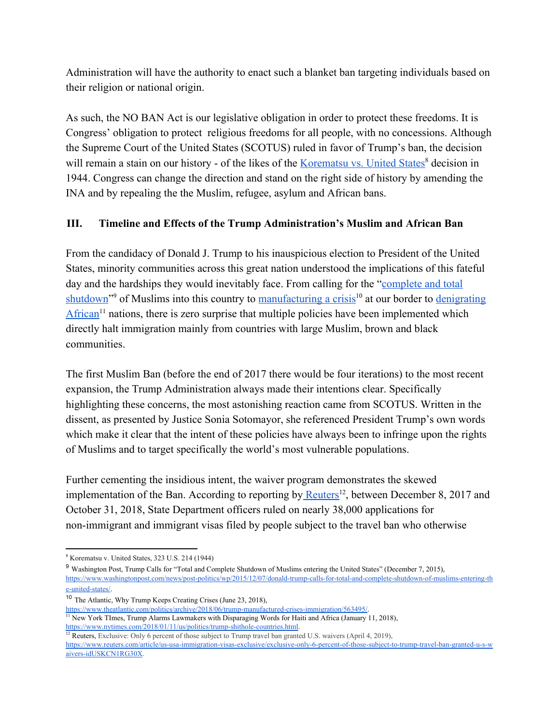Administration will have the authority to enact such a blanket ban targeting individuals based on their religion or national origin.

As such, the NO BAN Act is our legislative obligation in order to protect these freedoms. It is Congress' obligation to protect religious freedoms for all people, with no concessions. Although the Supreme Court of the United States (SCOTUS) ruled in favor of Trump's ban, the decision will remain a stain on our history - of the likes of the [Korematsu vs. United States](https://www.uscourts.gov/educational-resources/educational-activities/facts-and-case-summary-korematsu-v-us)<sup>8</sup> decision in 1944. Congress can change the direction and stand on the right side of history by amending the INA and by repealing the the Muslim, refugee, asylum and African bans.

#### **III. Timeline and Effects of the Trump Administration's Muslim and African Ban**

From the candidacy of Donald J. Trump to his inauspicious election to President of the United States, minority communities across this great nation understood the implications of this fateful day and the hardships they would inevitably face. From calling for the "[complete and total](https://www.washingtonpost.com/news/post-politics/wp/2015/12/07/donald-trump-calls-for-total-and-complete-shutdown-of-muslims-entering-the-united-states/) [shutdown](https://www.washingtonpost.com/news/post-politics/wp/2015/12/07/donald-trump-calls-for-total-and-complete-shutdown-of-muslims-entering-the-united-states/)"<sup>9</sup> of Muslims into this country to [manufacturing a crisis](https://www.theatlantic.com/politics/archive/2018/06/trump-manufactured-crises-immigration/563495/)<sup>10</sup> at our border to [denigrating](https://www.nytimes.com/2018/01/11/us/politics/trump-shithole-countries.html) [African](https://www.nytimes.com/2018/01/11/us/politics/trump-shithole-countries.html)<sup> $11$ </sup> nations, there is zero surprise that multiple policies have been implemented which directly halt immigration mainly from countries with large Muslim, brown and black communities.

The first Muslim Ban (before the end of 2017 there would be four iterations) to the most recent expansion, the Trump Administration always made their intentions clear. Specifically highlighting these concerns, the most astonishing reaction came from SCOTUS. Written in the dissent, as presented by Justice Sonia Sotomayor, she referenced President Trump's own words which make it clear that the intent of these policies have always been to infringe upon the rights of Muslims and to target specifically the world's most vulnerable populations.

Further cementing the insidious intent, the waiver program demonstrates the skewed implementation of the Ban. According to reporting by [Reuters](https://www.reuters.com/article/us-usa-immigration-visas-exclusive/exclusive-only-6-percent-of-those-subject-to-trump-travel-ban-granted-u-s-waivers-idUSKCN1RG30X)<sup>12</sup>, between December 8, 2017 and October 31, 2018, State Department officers ruled on nearly 38,000 applications for non-immigrant and immigrant visas filed by people subject to the travel ban who otherwise

<sup>8</sup> Korematsu v. United States, 323 U.S. 214 (1944)

<sup>9</sup> Washington Post, Trump Calls for "Total and Complete Shutdown of Muslims entering the United States" (December 7, 2015), [https://www.washingtonpost.com/news/post-politics/wp/2015/12/07/donald-trump-calls-for-total-and-complete-shutdown-of-muslims-entering-th](https://www.washingtonpost.com/news/post-politics/wp/2015/12/07/donald-trump-calls-for-total-and-complete-shutdown-of-muslims-entering-the-united-states/) [e-united-states/.](https://www.washingtonpost.com/news/post-politics/wp/2015/12/07/donald-trump-calls-for-total-and-complete-shutdown-of-muslims-entering-the-united-states/)

<sup>10</sup> The Atlantic, Why Trump Keeps Creating Crises (June 23, 2018),

[https://www.theatlantic.com/politics/archive/2018/06/trump-manufactured-crises-immigration/563495/.](https://www.theatlantic.com/politics/archive/2018/06/trump-manufactured-crises-immigration/563495/)

<sup>&</sup>lt;sup>11</sup> New York TImes, Trump Alarms Lawmakers with Disparaging Words for Haiti and Africa (January 11, 2018), <https://www.nytimes.com/2018/01/11/us/politics/trump-shithole-countries.html>.

<sup>&</sup>lt;sup>12</sup> Reuters, Exclusive: Only 6 percent of those subject to Trump travel ban granted U.S. waivers (April 4, 2019), [https://www.reuters.com/article/us-usa-immigration-visas-exclusive/exclusive-only-6-percent-of-those-subject-to-trump-travel-ban-granted-u-s-w](https://www.reuters.com/article/us-usa-immigration-visas-exclusive/exclusive-only-6-percent-of-those-subject-to-trump-travel-ban-granted-u-s-waivers-idUSKCN1RG30X) [aivers-idUSKCN1RG30X.](https://www.reuters.com/article/us-usa-immigration-visas-exclusive/exclusive-only-6-percent-of-those-subject-to-trump-travel-ban-granted-u-s-waivers-idUSKCN1RG30X)